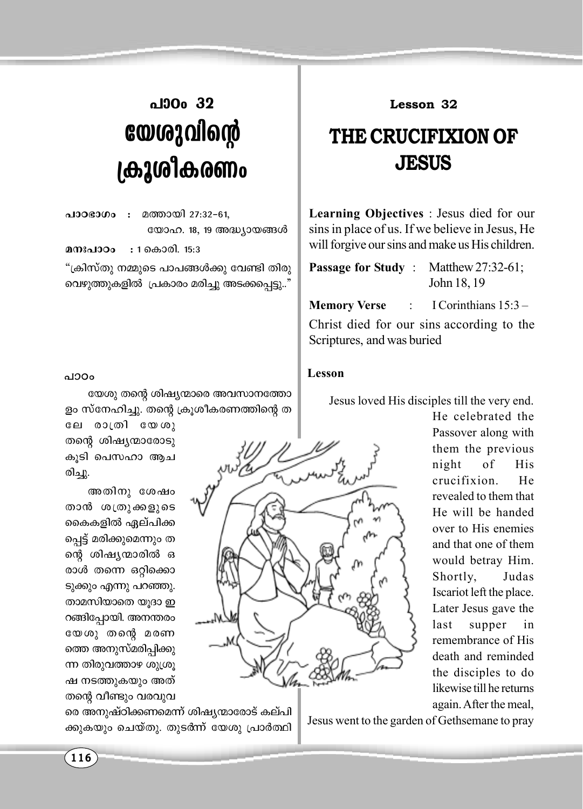## പാറം 32 യേശുവിന്റെ ക്രൂശികരണം

 $0.1008000$ മത്തായി 27:32-61, യോഹ. 18, 19 അദ്ധ്യായങ്ങൾ

മനഃപാറപ : 1 കൊരി. 15:3

"ക്രിസ്തു നമ്മുടെ പാപങ്ങൾക്കു വേണ്ടി തിരു വെഴുത്തുകളിൽ പ്രകാരം മരിച്ചു അടക്കപ്പെട്ടു.."

## പാഠം

യേശു തന്റെ ശിഷ്യന്മാരെ അവസാനത്തോ ളം സ്നേഹിച്ചു. തന്റെ ക്രൂശീകരണത്തിന്റെ ത

ലേ രാത്രി യേശു തന്റെ ശിഷ്യന്മാരോടു കുടി പെസഹാ ആച രിച്ചു.

അതിനു ശേഷം താൻ ശത്രുക്കളുടെ കൈകളിൽ ഏല്പിക്ക പ്പെട്ട് മരിക്കുമെന്നും ത ന്റെ ശിഷ്യന്മാരിൽ ഒ രാൾ തന്നെ ഒറ്റിക്കൊ ടുക്കും എന്നു പറഞ്ഞു. താമസിയാതെ യുദാ ഇ റങ്ങിപ്പോയി. അനന്തരം യേശു തന്റെ മരണ ത്തെ അനുസ്മരിപ്പിക്കു ന്ന തിരുവത്താഴ ശുശ്രു ഷ നടത്തുകയും അത് തന്റെ വീണ്ടും വരവുവ

രെ അനുഷ്ഠിക്കണമെന്ന് ശിഷ്യന്മാരോട് കല്പി ക്കുകയും ചെയ്തു. തുടർന്ന് യേശു പ്രാർത്ഥി

Lesson 32

## **THE CRUCIFIXION OF JESUS**

**Learning Objectives** : Jesus died for our sins in place of us. If we believe in Jesus, He will forgive our sins and make us His children.

**Passage for Study:** Matthew  $27:32-61$ ; John 18, 19

I Corinthians  $15:3-$ **Memory Verse** Christ died for our sins according to the Scriptures, and was buried

## Lesson

Jesus loved His disciples till the very end.

He celebrated the Passover along with them the previous night  $\sigma$ f His crucifixion He revealed to them that He will be handed over to His enemies and that one of them would betray Him. Shortly, Judas Iscariot left the place. Later Jesus gave the last supper in remembrance of His death and reminded the disciples to do likewise till he returns again. After the meal,

Jesus went to the garden of Gethsemane to pray

 $116$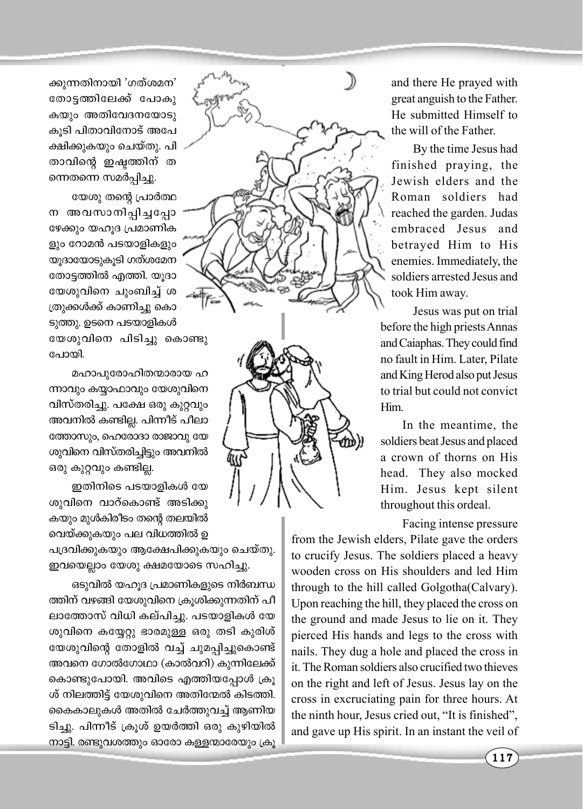ക്കുന്നതിനായി 'ഗത്ശമന' തോട്ടത്തിലേക്ക് പോകു കയും അതിവേദനയോടു കുടി പിതാവിനോട് അപേ ക്ഷിക്കുകയും ചെയ്തു. പി താവിന്റെ ഇഷ്ടത്തിന് ത ന്നെതന്നെ സമർപ്പിച്ചു.

യേശു തന്റെ പ്രാർത്ഥ ന അവസാനിപ്പിച്ചപ്പോ ഴേക്കും യഹൂദ പ്രമാണിക ളും റോമൻ പടയാളികളും യുദായോടുകൂടി ഗത്ശമേന തോട്ടത്തിൽ എത്തി. യൂദാ യേശുവിനെ ചുംബിച്ച് ശ (തുക്കൾക്ക് കാണിച്ചു കൊ ടുത്തു. ഉടനെ പടയാളികൾ യേശുവിനെ പിടിച്ചു കൊണ്ടു പോയി.

മഹാപുരോഹിതന്മാരായ ഹ ന്നാവും കയാഫാവും യേശുവിനെ വിസ്തരിച്ചു. പക്ഷേ ഒരു കുറ്റവും അവനിൽ കണ്ടില്ല. പിന്നീട് പീലാ ത്തോസും, ഹെരോദാ രാജാവു യേ ശുവിനെ വിസ്തരിച്ചിട്ടും അവനിൽ ഒരു കുറ്റവും കണ്ടില്ല.

ഇതിനിടെ പടയാളികൾ യേ ശുവിനെ വാറ്കൊണ്ട് അടിക്കു കയും മുൾകിരീടം തന്റെ തലയിൽ വെയ്ക്കുകയും പല വിധത്തിൽ ഉ

പദ്രവിക്കുകയും ആക്ഷേപിക്കുകയും ചെയ്തു. ഇവയെല്ലാം യേശു ക്ഷമയോടെ സഹിച്ചു.

ഒടുവിൽ യഹൂദ പ്രമാണികളുടെ നിർബന്ധ ത്തിന് വഴങ്ങി യേശുവിനെ ക്രുശിക്കുന്നതിന് പീ ലാത്തോസ് വിധി കല്പിച്ചു. പടയാളികൾ യേ ശുവിനെ കയ്യേറ്റു ഭാരമുള്ള ഒരു തടി കുരിശ് യേശുവിന്റെ തോളിൽ വച്ച് ചുമപ്പിച്ചുകൊണ്ട് അവനെ ഗോൽഗോഥാ (കാൽവറി) കുന്നിലേക്ക് കൊണ്ടുപോയി. അവിടെ എത്തിയപ്പോൾ ക്രൂ  $i$ ശ് നിലത്തിട്ട് യേശുവിനെ അതിന്മേൽ കിടത്തി. കൈകാലുകൾ അതിൽ ചേർത്തുവച്ച് ആണിയ ടിച്ചു. പിന്നീട് ക്രൂശ് ഉയർത്തി ഒരു കുഴിയിൽ നാട്ടി. രണ്ടുവശത്തും ഓരോ കള്ളന്മാരേയും ക്രൂ

and there He prayed with great anguish to the Father. He submitted Himself to the will of the Father.

By the time Jesus had finished praying, the Jewish elders and the Roman soldiers had reached the garden. Judas embraced Jesus and betrayed Him to His enemies. Immediately, the soldiers arrested Jesus and took Him away.

Jesus was put on trial before the high priests Annas and Caiaphas. They could find no fault in Him. Later, Pilate and King Herod also put Jesus to trial but could not convict Him.

In the meantime, the soldiers beat Jesus and placed a crown of thorns on His head. They also mocked Him. Jesus kept silent throughout this ordeal.

Facing intense pressure

from the Jewish elders, Pilate gave the orders to crucify Jesus. The soldiers placed a heavy wooden cross on His shoulders and led Him through to the hill called Golgotha(Calvary). Upon reaching the hill, they placed the cross on the ground and made Jesus to lie on it. They pierced His hands and legs to the cross with nails. They dug a hole and placed the cross in it. The Roman soldiers also crucified two thieves on the right and left of Jesus. Jesus lay on the cross in excruciating pain for three hours. At the ninth hour, Jesus cried out, "It is finished", and gave up His spirit. In an instant the veil of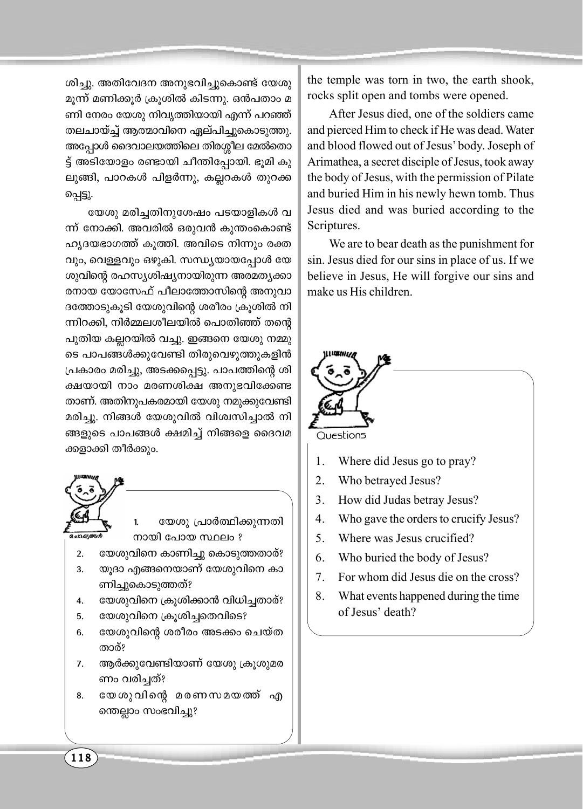ശിച്ചു. അതിവേദന അനുഭവിച്ചുകൊണ്ട് യേശു മൂന്ന് മണിക്കൂർ ക്രൂശിൽ കിടന്നു. ഒൻപതാം മ ണി നേരം യേശു നിവൃത്തിയായി എന്ന് പറഞ്ഞ് തലചായ്ച്ച് ആത്മാവിനെ ഏല്പിച്ചുകൊടുത്തു. അപ്പോൾ ദൈവാലയത്തിലെ തിരശ്ശീല മേൽതൊ ട്ട് അടിയോളം രണ്ടായി ചീന്തിപ്പോയി. ഭൂമി കു ലുങ്ങി, പാറകൾ പിളർന്നു, കല്ലറകൾ തുറക്ക പ്പെട്ടു.

യേശു മരിച്ചതിനുശേഷം പടയാളികൾ വ ന്ന് നോക്കി. അവരിൽ ഒരുവൻ കുന്തംകൊണ്ട് ഹൃദയഭാഗത്ത് കുത്തി. അവിടെ നിന്നും രക്ത വും, വെള്ളവും ഒഴുകി. സന്ധ്യയായപ്പോൾ യേ ശുവിന്റെ രഹസ്യശിഷ്യനായിരുന്ന അരമത്യക്കാ രനായ യോസേഫ് പീലാത്തോസിന്റെ അനുവാ ദത്തോടുകൂടി യേശുവിന്റെ ശരീരം ക്രൂശിൽ നി ന്നിറക്കി, നിർമ്മലശീലയിൽ പൊതിഞ്ഞ് തന്റെ പുതിയ കല്ലറയിൽ വച്ചു. ഇങ്ങനെ യേശു നമ്മു ടെ പാപങ്ങൾക്കുവേണ്ടി തിരുവെഴുത്തുകളിൻ പ്രകാരം മരിച്ചു, അടക്കപ്പെട്ടു. പാപത്തിന്റെ ശി ക്ഷയായി നാം മരണശിക്ഷ അനുഭവിക്കേണ്ട താണ്. അതിനുപകരമായി യേശു നമുക്കുവേണ്ടി മരിച്ചു. നിങ്ങൾ യേശുവിൽ വിശ്വസിച്ചാൽ നി ങ്ങളുടെ പാപങ്ങൾ ക്ഷമിച്ച് നിങ്ങളെ ദൈവമ ക്കളാക്കി തീർക്കും.



the temple was torn in two, the earth shook, rocks split open and tombs were opened.

After Jesus died, one of the soldiers came and pierced Him to check if He was dead. Water and blood flowed out of Jesus' body. Joseph of Arimathea, a secret disciple of Jesus, took away the body of Jesus, with the permission of Pilate and buried Him in his newly hewn tomb. Thus Jesus died and was buried according to the Scriptures.

We are to bear death as the punishment for sin. Jesus died for our sins in place of us. If we believe in Jesus, He will forgive our sins and make us His children.



- $5<sub>1</sub>$ Where was Jesus crucified?
- 6 Who buried the body of Jesus?
- $7<sub>1</sub>$ For whom did Jesus die on the cross?
- 8 What events happened during the time of Jesus' death?

118